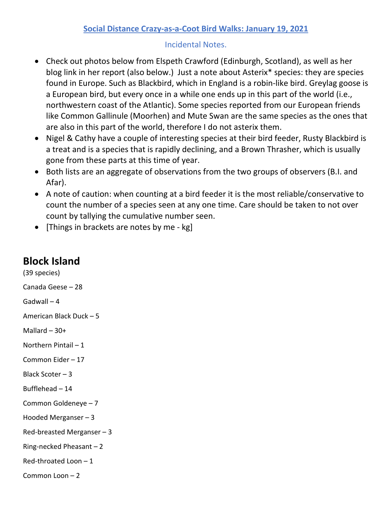## **Social Distance Crazy-as-a-Coot Bird Walks: January 19, 2021**

## Incidental Notes.

- Check out photos below from Elspeth Crawford (Edinburgh, Scotland), as well as her blog link in her report (also below.) Just a note about Asterix\* species: they are species found in Europe. Such as Blackbird, which in England is a robin-like bird. Greylag goose is a European bird, but every once in a while one ends up in this part of the world (i.e., northwestern coast of the Atlantic). Some species reported from our European friends like Common Gallinule (Moorhen) and Mute Swan are the same species as the ones that are also in this part of the world, therefore I do not asterix them.
- Nigel & Cathy have a couple of interesting species at their bird feeder, Rusty Blackbird is a treat and is a species that is rapidly declining, and a Brown Thrasher, which is usually gone from these parts at this time of year.
- Both lists are an aggregate of observations from the two groups of observers (B.I. and Afar).
- A note of caution: when counting at a bird feeder it is the most reliable/conservative to count the number of a species seen at any one time. Care should be taken to not over count by tallying the cumulative number seen.
- [Things in brackets are notes by me kg]

## **Block Island**

(39 species) Canada Geese – 28 Gadwall – 4 American Black Duck – 5 Mallard  $-30+$ Northern Pintail – 1 Common Eider – 17 Black Scoter – 3 Bufflehead – 14 Common Goldeneye – 7 Hooded Merganser – 3 Red-breasted Merganser – 3 Ring-necked Pheasant – 2 Red-throated Loon – 1 Common Loon – 2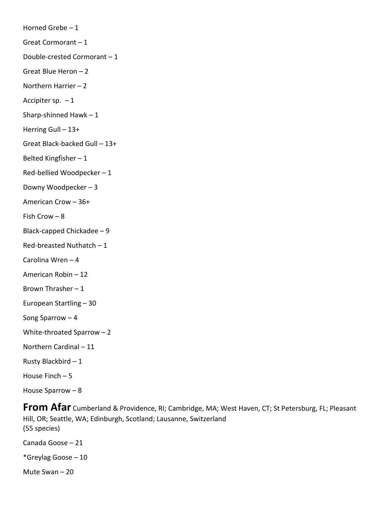Horned Grebe – 1 Great Cormorant – 1 Double-crested Cormorant – 1 Great Blue Heron – 2 Northern Harrier – 2 Accipiter sp.  $-1$ Sharp-shinned Hawk – 1 Herring Gull – 13+ Great Black-backed Gull – 13+ Belted Kingfisher – 1 Red-bellied Woodpecker – 1 Downy Woodpecker – 3 American Crow – 36+ Fish Crow – 8 Black-capped Chickadee – 9 Red-breasted Nuthatch – 1 Carolina Wren – 4 American Robin – 12 Brown Thrasher – 1 European Startling – 30 Song Sparrow – 4 White-throated Sparrow – 2 Northern Cardinal – 11 Rusty Blackbird – 1 House Finch – 5 House Sparrow – 8

**From Afar** Cumberland & Providence, RI; Cambridge, MA; West Haven, CT; St Petersburg, FL; Pleasant Hill, OR; Seattle, WA; Edinburgh, Scotland; Lausanne, Switzerland (55 species)

Canada Goose – 21

\*Greylag Goose – 10

Mute Swan – 20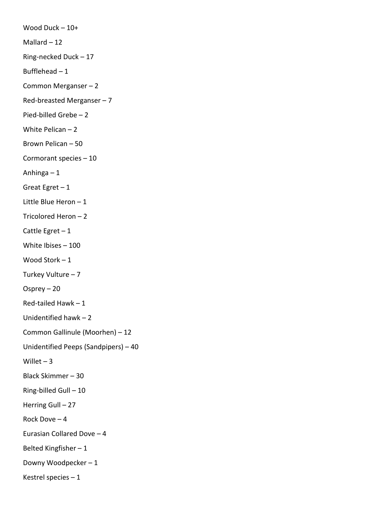Wood Duck – 10+ Mallard  $-12$ Ring-necked Duck – 17 Bufflehead – 1 Common Merganser – 2 Red-breasted Merganser – 7 Pied-billed Grebe – 2 White Pelican – 2 Brown Pelican – 50 Cormorant species – 10 Anhinga – 1 Great Egret  $-1$ Little Blue Heron – 1 Tricolored Heron – 2 Cattle Egret – 1 White Ibises – 100 Wood Stork – 1 Turkey Vulture – 7 Osprey – 20 Red-tailed Hawk – 1 Unidentified hawk – 2 Common Gallinule (Moorhen) – 12 Unidentified Peeps (Sandpipers) – 40 Willet  $-3$ Black Skimmer – 30 Ring-billed Gull – 10 Herring Gull – 27 Rock Dove – 4 Eurasian Collared Dove – 4 Belted Kingfisher – 1 Downy Woodpecker – 1 Kestrel species – 1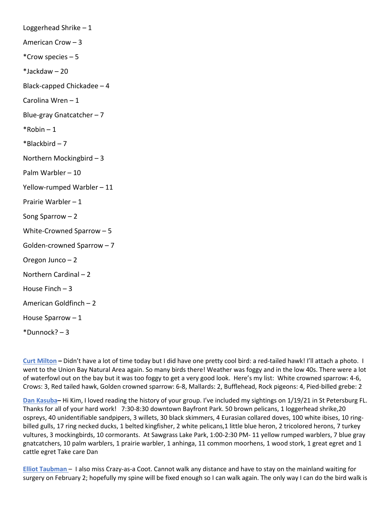Loggerhead Shrike – 1 American Crow – 3 \*Crow species – 5 \*Jackdaw – 20 Black-capped Chickadee – 4 Carolina Wren – 1 Blue-gray Gnatcatcher – 7  $*$ Robin – 1  $*Blackbird - 7$ Northern Mockingbird – 3 Palm Warbler – 10 Yellow-rumped Warbler – 11 Prairie Warbler – 1 Song Sparrow – 2 White-Crowned Sparrow – 5 Golden-crowned Sparrow – 7 Oregon Junco – 2 Northern Cardinal – 2 House Finch – 3 American Goldfinch – 2 House Sparrow – 1  $*$ Dunnock? – 3

**Curt Milton –** Didn't have a lot of time today but I did have one pretty cool bird: a red-tailed hawk! I'll attach a photo. I went to the Union Bay Natural Area again. So many birds there! Weather was foggy and in the low 40s. There were a lot of waterfowl out on the bay but it was too foggy to get a very good look. Here's my list: White crowned sparrow: 4-6, Crows: 3, Red tailed hawk, Golden crowned sparrow: 6-8, Mallards: 2, Bufflehead, Rock pigeons: 4, Pied-billed grebe: 2

**Dan Kasuba–** Hi Kim, I loved reading the history of your group. I've included my sightings on 1/19/21 in St Petersburg FL. Thanks for all of your hard work! 7:30-8:30 downtown Bayfront Park. 50 brown pelicans, 1 loggerhead shrike,20 ospreys, 40 unidentifiable sandpipers, 3 willets, 30 black skimmers, 4 Eurasian collared doves, 100 white ibises, 10 ringbilled gulls, 17 ring necked ducks, 1 belted kingfisher, 2 white pelicans,1 little blue heron, 2 tricolored herons, 7 turkey vultures, 3 mockingbirds, 10 cormorants. At Sawgrass Lake Park, 1:00-2:30 PM- 11 yellow rumped warblers, 7 blue gray gnatcatchers, 10 palm warblers, 1 prairie warbler, 1 anhinga, 11 common moorhens, 1 wood stork, 1 great egret and 1 cattle egret Take care Dan

**Elliot Taubman** – I also miss Crazy-as-a Coot. Cannot walk any distance and have to stay on the mainland waiting for surgery on February 2; hopefully my spine will be fixed enough so I can walk again. The only way I can do the bird walk is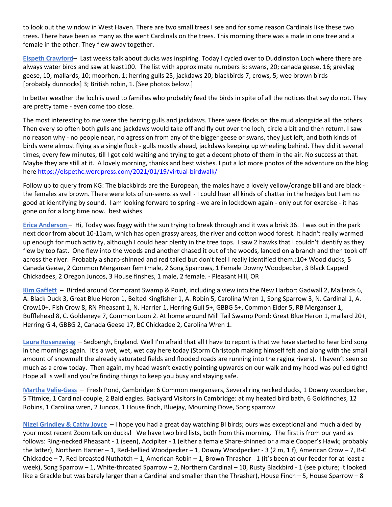to look out the window in West Haven. There are two small trees I see and for some reason Cardinals like these two trees. There have been as many as the went Cardinals on the trees. This morning there was a male in one tree and a female in the other. They flew away together.

**Elspeth Crawford**– Last weeks talk about ducks was inspiring. Today I cycled over to Duddinston Loch where there are always water birds and saw at least100. The list with approximate numbers is: swans, 20; canada geese, 16; greylag geese, 10; mallards, 10; moorhen, 1; herring gulls 25; jackdaws 20; blackbirds 7; crows, 5; wee brown birds [probably dunnocks] 3; British robin, 1. [See photos below.]

In better weather the loch is used to families who probably feed the birds in spite of all the notices that say do not. They are pretty tame - even come too close.

The most interesting to me were the herring gulls and jackdaws. There were flocks on the mud alongside all the others. Then every so often both gulls and jackdaws would take off and fly out over the loch, circle a bit and then return. I saw no reason why - no people near, no agression from any of the bigger geese or swans, they just left, and both kinds of birds were almost flying as a single flock - gulls mostly ahead, jackdaws keeping up wheeling behind. They did it several times, every few minutes, till I got cold waiting and trying to get a decent photo of them in the air. No success at that. Maybe they are still at it. A lovely morning, thanks and best wishes. I put a lot more photos of the adventure on the blog here [https://elspethc.wordpress.com/2021/01/19/virtual-birdwalk/](https://protect-us.mimecast.com/s/djsrCM8KXjIWn5AGUw7aqb?domain=elspethc.wordpress.com)

Follow up to query from KG: The blackbirds are the European, the males have a lovely yellow/orange bill and are black the females are brown. There were lots of un-seens as well - I could hear all kinds of chatter in the hedges but I am no good at identifying by sound. I am looking forward to spring - we are in lockdown again - only out for exercise - it has gone on for a long time now. best wishes

**Erica Anderson** – Hi, Today was foggy with the sun trying to break through and it was a brisk 36. I was out in the park next door from about 10-11am, which has open grassy areas, the river and cotton wood forest. It hadn't really warmed up enough for much activity, although I could hear plenty in the tree tops. I saw 2 hawks that I couldn't identify as they flew by too fast. One flew into the woods and another chased it out of the woods, landed on a branch and then took off across the river. Probably a sharp-shinned and red tailed but don't feel I really identified them.:10+ Wood ducks, 5 Canada Geese, 2 Common Merganser fem+male, 2 Song Sparrows, 1 Female Downy Woodpecker, 3 Black Capped Chickadees, 2 Oregon Juncos, 3 House finshes, 1 male, 2 female. - Pleasant Hill, OR

**Kim Gaffett** – Birded around Cormorant Swamp & Point, including a view into the New Harbor: Gadwall 2, Mallards 6, A. Black Duck 3, Great Blue Heron 1, Belted Kingfisher 1, A. Robin 5, Carolina Wren 1, Song Sparrow 3, N. Cardinal 1, A. Crow10+, Fish Crow 8, RN Pheasant 1, N. Harrier 1, Herring Gull 5+, GBBG 5+, Common Eider 5, RB Merganser 1, Bufflehead 8, C. Goldeneye 7, Common Loon 2. At home around Mill Tail Swamp Pond: Great Blue Heron 1, mallard 20+, Herring G 4, GBBG 2, Canada Geese 17, BC Chickadee 2, Carolina Wren 1.

**Laura Rosenzwieg** – Sedbergh, England. Well I'm afraid that all I have to report is that we have started to hear bird song in the mornings again. It's a wet, wet, wet day here today (Storm Christoph making himself felt and along with the small amount of snowmelt the already saturated fields and flooded roads are running into the raging rivers). I haven't seen so much as a crow today. Then again, my head wasn't exactly pointing upwards on our walk and my hood was pulled tight! Hope all is well and you're finding things to keep you busy and staying safe.

**Martha Velie-Gass** – Fresh Pond, Cambridge: 6 Common mergansers, Several ring necked ducks, 1 Downy woodpecker, 5 Titmice, 1 Cardinal couple, 2 Bald eagles. Backyard Visitors in Cambridge: at my heated bird bath, 6 Goldfinches, 12 Robins, 1 Carolina wren, 2 Juncos, 1 House finch, Bluejay, Mourning Dove, Song sparrow

**Nigel Grindley & Cathy Joyce** – I hope you had a great day watching BI birds; ours was exceptional and much aided by your most recent Zoom talk on ducks! We have two bird lists, both from this morning. The first is from our yard as follows: Ring-necked Pheasant - 1 (seen), Accipiter - 1 (either a female Share-shinned or a male Cooper's Hawk; probably the latter), Northern Harrier – 1, Red-bellied Woodpecker – 1, Downy Woodpecker - 3 (2 m, 1 f), American Crow – 7, B-C Chickadee – 7, Red-breasted Nuthatch – 1, American Robin – 1, Brown Thrasher - 1 (it's been at our feeder for at least a week), Song Sparrow – 1, White-throated Sparrow – 2, Northern Cardinal – 10, Rusty Blackbird - 1 (see picture; it looked like a Grackle but was barely larger than a Cardinal and smaller than the Thrasher), House Finch – 5, House Sparrow – 8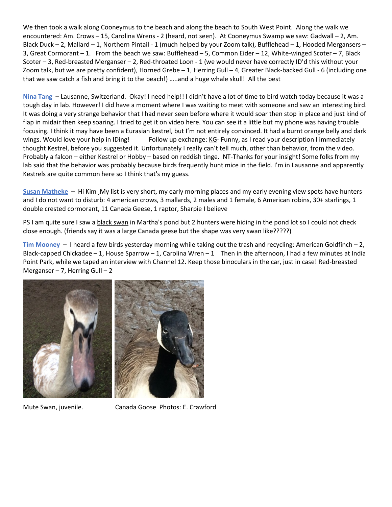We then took a walk along Cooneymus to the beach and along the beach to South West Point. Along the walk we encountered: Am. Crows – 15, Carolina Wrens - 2 (heard, not seen). At Cooneymus Swamp we saw: Gadwall – 2, Am. Black Duck – 2, Mallard – 1, Northern Pintail - 1 (much helped by your Zoom talk), Bufflehead – 1, Hooded Mergansers – 3, Great Cormorant – 1. From the beach we saw: Bufflehead – 5, Common Eider – 12, White-winged Scoter – 7, Black Scoter – 3, Red-breasted Merganser – 2, Red-throated Loon - 1 (we would never have correctly ID'd this without your Zoom talk, but we are pretty confident), Horned Grebe – 1, Herring Gull – 4, Greater Black-backed Gull - 6 (including one that we saw catch a fish and bring it to the beach!) …..and a huge whale skull! All the best

**Nina Tang** – Lausanne, Switzerland. Okay! I need help!! I didn't have a lot of time to bird watch today because it was a tough day in lab. However! I did have a moment where I was waiting to meet with someone and saw an interesting bird. It was doing a very strange behavior that I had never seen before where it would soar then stop in place and just kind of flap in midair then keep soaring. I tried to get it on video here. You can see it a little but my phone was having trouble focusing. I think it may have been a Eurasian kestrel, but I'm not entirely convinced. It had a burnt orange belly and dark wings. Would love your help in IDing! Follow up exchange: KG- Funny, as I read your description I immediately thought Kestrel, before you suggested it. Unfortunately I really can't tell much, other than behavior, from the video. Probably a falcon – either Kestrel or Hobby – based on reddish tinge. NT-Thanks for your insight! Some folks from my lab said that the behavior was probably because birds frequently hunt mice in the field. I'm in Lausanne and apparently Kestrels are quite common here so I think that's my guess.

**Susan Matheke** – Hi Kim ,My list is very short, my early morning places and my early evening view spots have hunters and I do not want to disturb: 4 american crows, 3 mallards, 2 males and 1 female, 6 American robins, 30+ starlings, 1 double crested cormorant, 11 Canada Geese, 1 raptor, Sharpie I believe

PS I am quite sure I saw a black swan in Martha's pond but 2 hunters were hiding in the pond lot so I could not check close enough. (friends say it was a large Canada geese but the shape was very swan like?????)

**Tim Mooney** – I heard a few birds yesterday morning while taking out the trash and recycling: American Goldfinch – 2, Black-capped Chickadee – 1, House Sparrow – 1, Carolina Wren – 1 Then in the afternoon, I had a few minutes at India Point Park, while we taped an interview with Channel 12. Keep those binoculars in the car, just in case! Red-breasted Merganser  $-7$ , Herring Gull  $-2$ 





Mute Swan, juvenile. Canada Goose Photos: E. Crawford